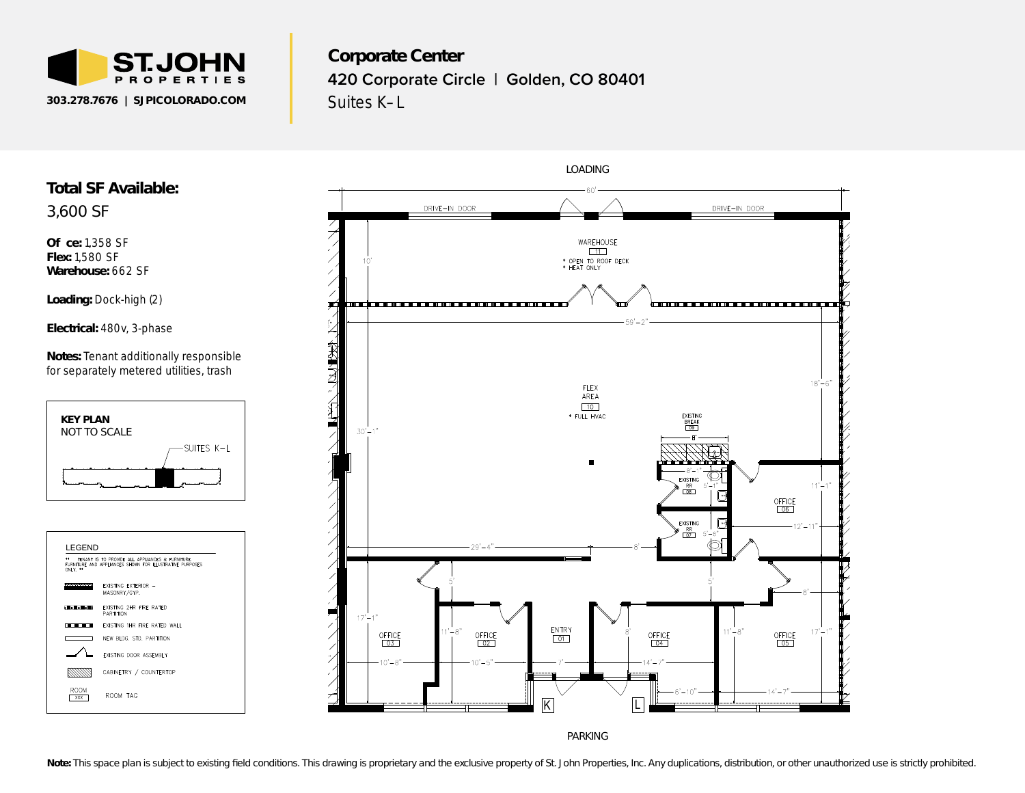

3,600 SF

**O** ce: 1,358 SF **Flex:** 1,580 SF **Warehouse:** 662 SF

> **KEY PLAN** *NOT TO SCALE*

**CONTRACTOR** 

8999  $rac{ROM}{<sub>xxx</sub>}$ 

ROOM TAG

Corporate Center Corporate Center<br>420 Corporate Circle | Golden, CO 80401 Suites K–L DATE OF ISSUE/REVISIONS  $\mathbf{e}$ r<br>C pora<br>) Cor<sub>l</sub>  $\overline{\phantom{a}}$ 



PARKING

**LOADING**